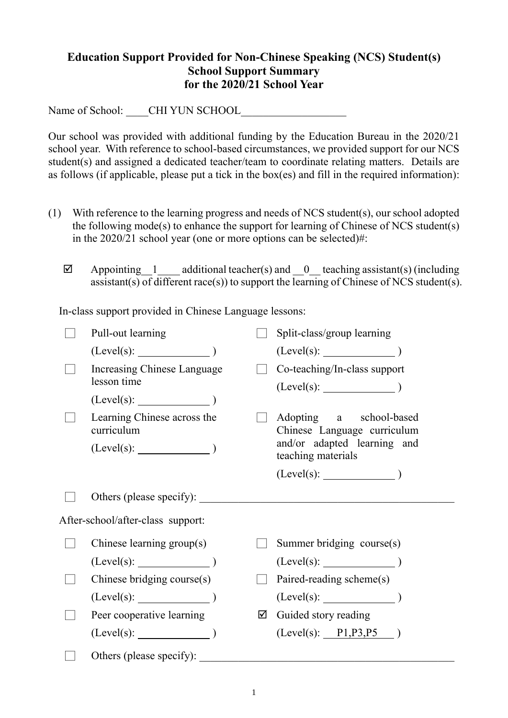## **Education Support Provided for Non-Chinese Speaking (NCS) Student(s) School Support Summary for the 2020/21 School Year**

Name of School: \_\_\_\_CHI YUN SCHOOL

Our school was provided with additional funding by the Education Bureau in the 2020/21 school year. With reference to school-based circumstances, we provided support for our NCS student(s) and assigned a dedicated teacher/team to coordinate relating matters. Details are as follows (if applicable, please put a tick in the box(es) and fill in the required information):

- (1) With reference to the learning progress and needs of NCS student(s), our school adopted the following mode(s) to enhance the support for learning of Chinese of NCS student(s) in the 2020/21 school year (one or more options can be selected)#:
	- $\boxtimes$  Appointing 1 additional teacher(s) and 0 teaching assistant(s) (including assistant(s) of different race(s)) to support the learning of Chinese of NCS student(s).

In-class support provided in Chinese Language lessons:

| Pull-out learning                                             |   | Split-class/group learning                                                                                  |
|---------------------------------------------------------------|---|-------------------------------------------------------------------------------------------------------------|
| $(Level(s):$ $)$                                              |   | $(Level(s):$ $)$                                                                                            |
| Increasing Chinese Language<br>lesson time                    |   | Co-teaching/In-class support<br>(Level(s):                                                                  |
| $(Level(s):$ $)$                                              |   |                                                                                                             |
| Learning Chinese across the<br>curriculum<br>$(Level(s):$ $)$ |   | Adopting a school-based<br>Chinese Language curriculum<br>and/or adapted learning and<br>teaching materials |
|                                                               |   |                                                                                                             |
| Others (please specify):                                      |   |                                                                                                             |
| After-school/after-class support:                             |   |                                                                                                             |
| Chinese learning group(s)                                     |   | Summer bridging course(s)                                                                                   |
| (Level(s):                                                    |   | $(Level(s):$ (Level(s):                                                                                     |
| Chinese bridging course(s)                                    |   | Paired-reading scheme(s)                                                                                    |
| $(Level(s):$ (Level(s):                                       |   | $(Level(s):$ $)$                                                                                            |
| Peer cooperative learning                                     | ☑ | Guided story reading                                                                                        |
| (Level(s):                                                    |   | (Level(s): P1, P3, P5)                                                                                      |
| Others (please specify):                                      |   |                                                                                                             |